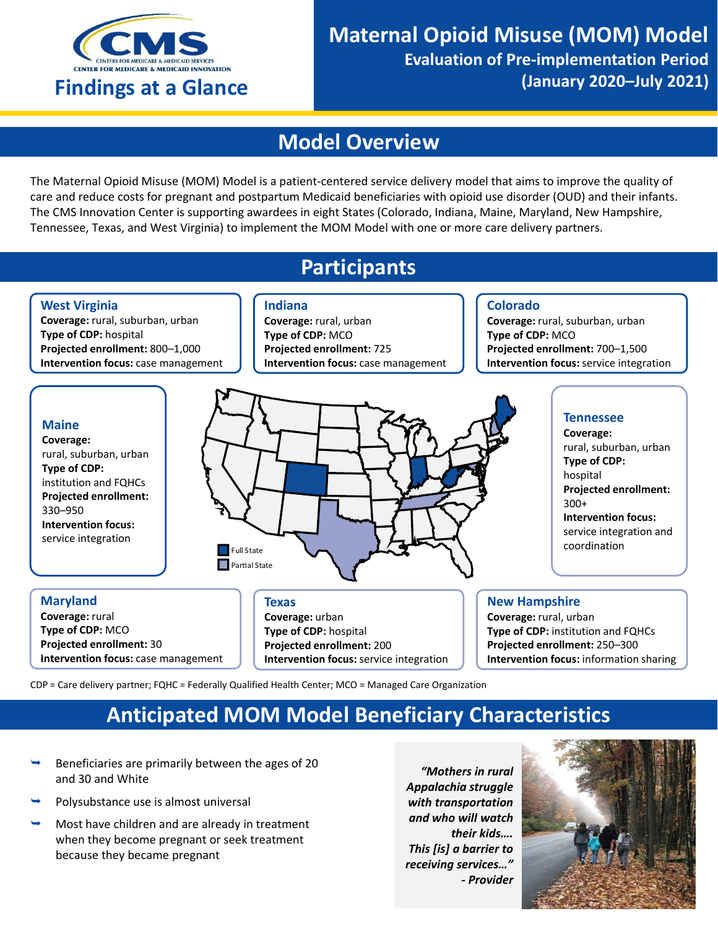

# **Model Overview**

The Maternal Opioid Misuse (MOM) Model is a patient-centered service delivery model that aims to improve the quality of care and reduce costs for pregnant and postpartum Medicaid beneficiaries with opioid use disorder (OUD) and their infants. The CMS Innovation Center is supporting awardees in eight States (Colorado, Indiana, Maine, Maryland, New Hampshire, Tennessee, Texas, and West Virginia) to implement the MOM Model with one or more care delivery partners.

## **Participants**



CDP = Care delivery partner; FQHC = Federally Qualified Health Center; MCO = Managed Care Organization

# **Anticipated MOM Model Beneficiary Characteristics**

- Beneficiaries are primarily between the ages of 20 and 30 and White
- Polysubstance use is almost universal
- Most have children and are already in treatment when they become pregnant or seek treatment because they became pregnant

*"Mothers in rural Appalachia struggle with transportation and who will watch their kids…. This [is] a barrier to receiving services…" - Provider*